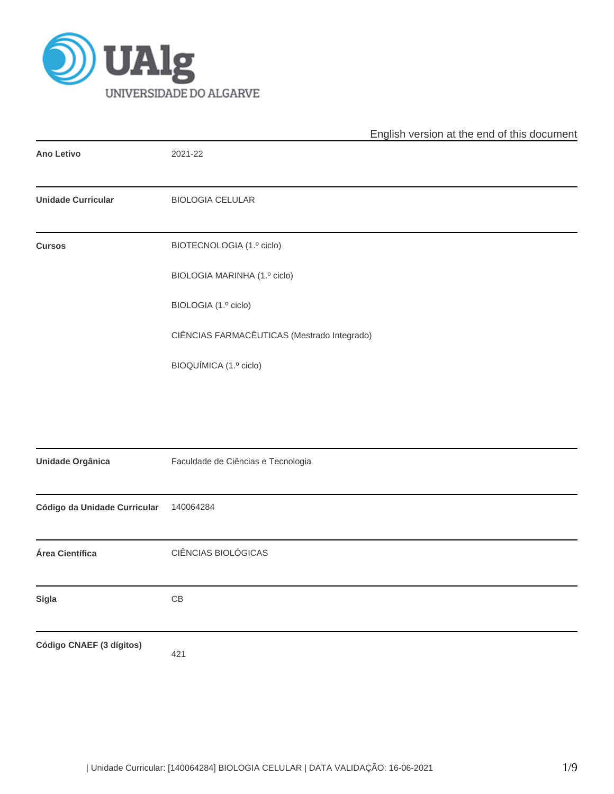

|                              | English version at the end of this document |
|------------------------------|---------------------------------------------|
| <b>Ano Letivo</b>            | 2021-22                                     |
| <b>Unidade Curricular</b>    | <b>BIOLOGIA CELULAR</b>                     |
| <b>Cursos</b>                | BIOTECNOLOGIA (1.º ciclo)                   |
|                              | BIOLOGIA MARINHA (1.º ciclo)                |
|                              | BIOLOGIA (1.º ciclo)                        |
|                              | CIÊNCIAS FARMACÊUTICAS (Mestrado Integrado) |
|                              | BIOQUÍMICA (1.º ciclo)                      |
|                              |                                             |
|                              |                                             |
| Unidade Orgânica             | Faculdade de Ciências e Tecnologia          |
| Código da Unidade Curricular | 140064284                                   |
| Área Científica              | CIÊNCIAS BIOLÓGICAS                         |
| Sigla                        | $\mathsf{CB}$                               |
| Código CNAEF (3 dígitos)     | 421                                         |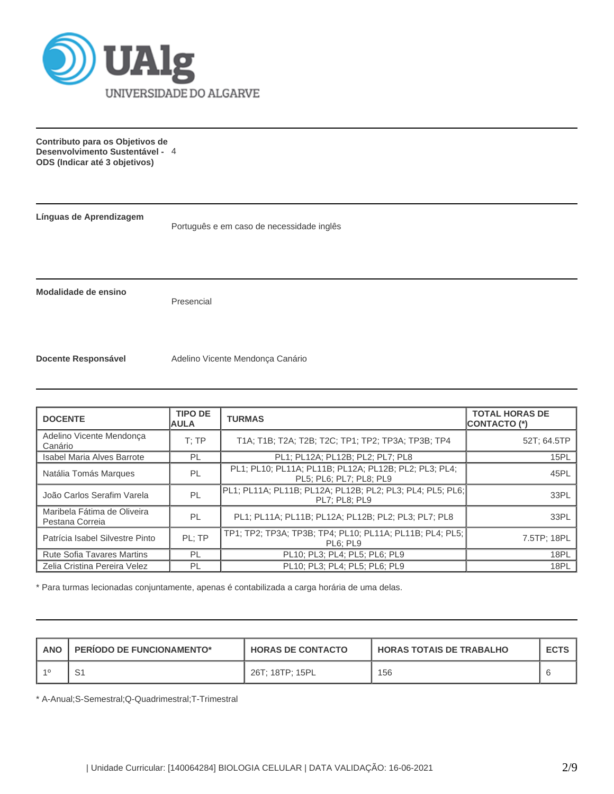

**Contributo para os Objetivos de Desenvolvimento Sustentável -** 4 **ODS (Indicar até 3 objetivos)**

**Línguas de Aprendizagem**

Português e em caso de necessidade inglês

**Modalidade de ensino**

Presencial

**Docente Responsável** Adelino Vicente Mendonça Canário

| <b>DOCENTE</b>                                 | <b>TIPO DE</b><br><b>AULA</b>                                                          | <b>TURMAS</b>                                                                       | <b>TOTAL HORAS DE</b><br><b>CONTACTO (*)</b> |  |  |
|------------------------------------------------|----------------------------------------------------------------------------------------|-------------------------------------------------------------------------------------|----------------------------------------------|--|--|
| Adelino Vicente Mendonça<br>Canário            | T:TP                                                                                   | T1A; T1B; T2A; T2B; T2C; TP1; TP2; TP3A; TP3B; TP4                                  | 52T; 64.5TP                                  |  |  |
| <b>Isabel Maria Alves Barrote</b>              | PL                                                                                     | PL1; PL12A; PL12B; PL2; PL7; PL8                                                    | 15PL                                         |  |  |
| Natália Tomás Marques                          | PL1; PL10; PL11A; PL11B; PL12A; PL12B; PL2; PL3; PL4;<br>PL<br>PL5; PL6; PL7; PL8; PL9 |                                                                                     |                                              |  |  |
| João Carlos Serafim Varela                     | PL                                                                                     | PL1; PL11A; PL11B; PL12A; PL12B; PL2; PL3; PL4; PL5; PL6;  <br><b>PL7: PL8: PL9</b> | 33PL                                         |  |  |
| Maribela Fátima de Oliveira<br>Pestana Correia | PL                                                                                     | PL1; PL11A; PL11B; PL12A; PL12B; PL2; PL3; PL7; PL8                                 | 33PL                                         |  |  |
| Patrícia Isabel Silvestre Pinto                | PL: TP                                                                                 | TP1; TP2; TP3A; TP3B; TP4; PL10; PL11A; PL11B; PL4; PL5;<br>PL6: PL9                | 7.5TP; 18PL                                  |  |  |
| <b>Rute Sofia Tavares Martins</b>              | PL                                                                                     | PL10; PL3; PL4; PL5; PL6; PL9                                                       | 18PL                                         |  |  |
| Zelia Cristina Pereira Velez                   | PL                                                                                     | PL10: PL3: PL4: PL5: PL6: PL9                                                       | 18PL                                         |  |  |

\* Para turmas lecionadas conjuntamente, apenas é contabilizada a carga horária de uma delas.

| ANO | <b>PERIODO DE FUNCIONAMENTO*</b> | <b>HORAS DE CONTACTO</b> | <b>HORAS TOTAIS DE TRABALHO</b> | <b>ECTS</b> |
|-----|----------------------------------|--------------------------|---------------------------------|-------------|
|     | ، ب                              | 26T; 18TP; 15PL          | 156                             |             |

\* A-Anual;S-Semestral;Q-Quadrimestral;T-Trimestral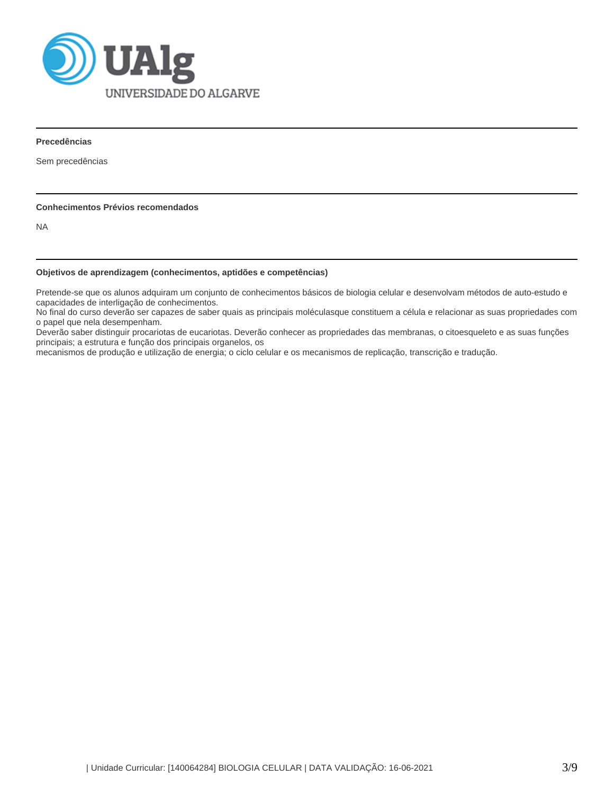

**Precedências**

Sem precedências

## **Conhecimentos Prévios recomendados**

NA

## **Objetivos de aprendizagem (conhecimentos, aptidões e competências)**

Pretende-se que os alunos adquiram um conjunto de conhecimentos básicos de biologia celular e desenvolvam métodos de auto-estudo e capacidades de interligação de conhecimentos.

No final do curso deverão ser capazes de saber quais as principais moléculasque constituem a célula e relacionar as suas propriedades com o papel que nela desempenham.

Deverão saber distinguir procariotas de eucariotas. Deverão conhecer as propriedades das membranas, o citoesqueleto e as suas funções principais; a estrutura e função dos principais organelos, os

mecanismos de produção e utilização de energia; o ciclo celular e os mecanismos de replicação, transcrição e tradução.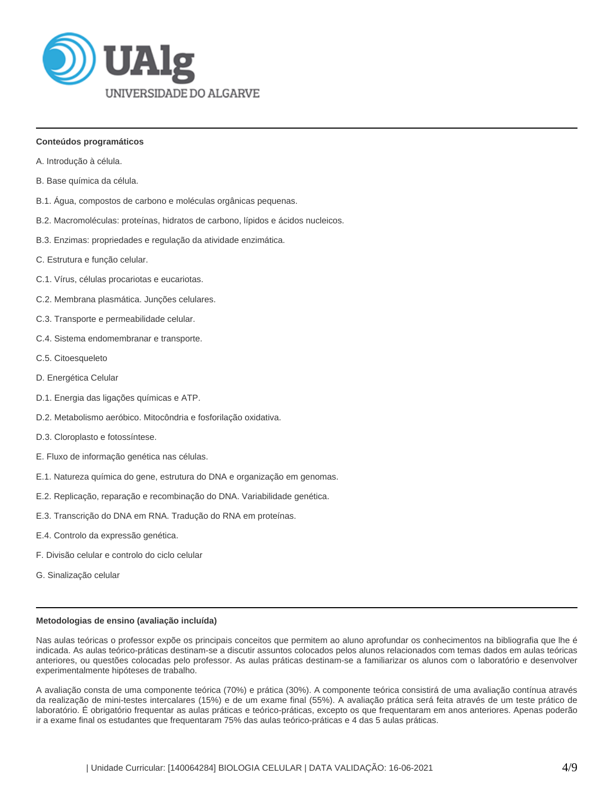

### **Conteúdos programáticos**

- A. Introdução à célula.
- B. Base química da célula.
- B.1. Água, compostos de carbono e moléculas orgânicas pequenas.
- B.2. Macromoléculas: proteínas, hidratos de carbono, lípidos e ácidos nucleicos.
- B.3. Enzimas: propriedades e regulação da atividade enzimática.
- C. Estrutura e função celular.
- C.1. Vírus, células procariotas e eucariotas.
- C.2. Membrana plasmática. Junções celulares.
- C.3. Transporte e permeabilidade celular.
- C.4. Sistema endomembranar e transporte.
- C.5. Citoesqueleto
- D. Energética Celular
- D.1. Energia das ligações químicas e ATP.
- D.2. Metabolismo aeróbico. Mitocôndria e fosforilação oxidativa.
- D.3. Cloroplasto e fotossíntese.
- E. Fluxo de informação genética nas células.
- E.1. Natureza química do gene, estrutura do DNA e organização em genomas.
- E.2. Replicação, reparação e recombinação do DNA. Variabilidade genética.
- E.3. Transcrição do DNA em RNA. Tradução do RNA em proteínas.
- E.4. Controlo da expressão genética.
- F. Divisão celular e controlo do ciclo celular
- G. Sinalização celular

#### **Metodologias de ensino (avaliação incluída)**

Nas aulas teóricas o professor expõe os principais conceitos que permitem ao aluno aprofundar os conhecimentos na bibliografia que lhe é indicada. As aulas teórico-práticas destinam-se a discutir assuntos colocados pelos alunos relacionados com temas dados em aulas teóricas anteriores, ou questões colocadas pelo professor. As aulas práticas destinam-se a familiarizar os alunos com o laboratório e desenvolver experimentalmente hipóteses de trabalho.

A avaliação consta de uma componente teórica (70%) e prática (30%). A componente teórica consistirá de uma avaliação contínua através da realização de mini-testes intercalares (15%) e de um exame final (55%). A avaliação prática será feita através de um teste prático de laboratório. É obrigatório frequentar as aulas práticas e teórico-práticas, excepto os que frequentaram em anos anteriores. Apenas poderão ir a exame final os estudantes que frequentaram 75% das aulas teórico-práticas e 4 das 5 aulas práticas.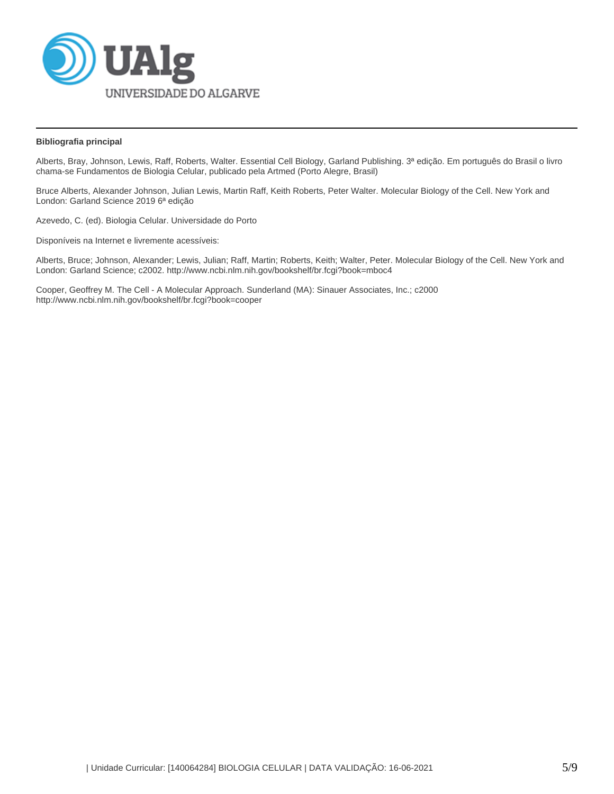

## **Bibliografia principal**

Alberts, Bray, Johnson, Lewis, Raff, Roberts, Walter. Essential Cell Biology, Garland Publishing. 3ª edição. Em português do Brasil o livro chama-se Fundamentos de Biologia Celular, publicado pela Artmed (Porto Alegre, Brasil)

Bruce Alberts, Alexander Johnson, Julian Lewis, Martin Raff, Keith Roberts, Peter Walter. Molecular Biology of the Cell. New York and London: Garland Science 2019 6ª edição

Azevedo, C. (ed). Biologia Celular. Universidade do Porto

Disponíveis na Internet e livremente acessíveis:

Alberts, Bruce; Johnson, Alexander; Lewis, Julian; Raff, Martin; Roberts, Keith; Walter, Peter. Molecular Biology of the Cell. New York and London: Garland Science; c2002. http://www.ncbi.nlm.nih.gov/bookshelf/br.fcgi?book=mboc4

Cooper, Geoffrey M. The Cell - A Molecular Approach. Sunderland (MA): Sinauer Associates, Inc.; c2000 http://www.ncbi.nlm.nih.gov/bookshelf/br.fcgi?book=cooper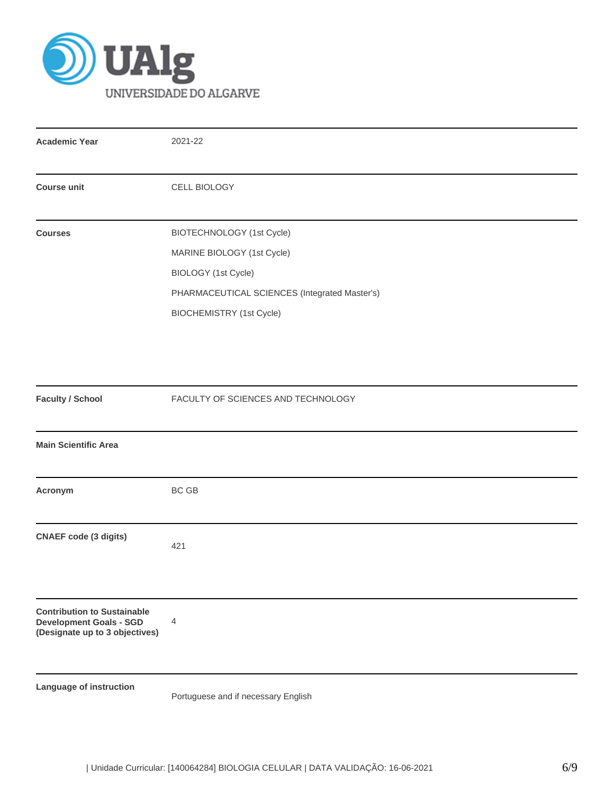

| <b>Academic Year</b>                                                                                   | 2021-22                                       |  |  |  |  |  |  |
|--------------------------------------------------------------------------------------------------------|-----------------------------------------------|--|--|--|--|--|--|
| <b>Course unit</b>                                                                                     | CELL BIOLOGY                                  |  |  |  |  |  |  |
| <b>Courses</b>                                                                                         | BIOTECHNOLOGY (1st Cycle)                     |  |  |  |  |  |  |
|                                                                                                        | MARINE BIOLOGY (1st Cycle)                    |  |  |  |  |  |  |
|                                                                                                        | BIOLOGY (1st Cycle)                           |  |  |  |  |  |  |
|                                                                                                        | PHARMACEUTICAL SCIENCES (Integrated Master's) |  |  |  |  |  |  |
|                                                                                                        | BIOCHEMISTRY (1st Cycle)                      |  |  |  |  |  |  |
|                                                                                                        |                                               |  |  |  |  |  |  |
|                                                                                                        |                                               |  |  |  |  |  |  |
|                                                                                                        |                                               |  |  |  |  |  |  |
| <b>Faculty / School</b>                                                                                | FACULTY OF SCIENCES AND TECHNOLOGY            |  |  |  |  |  |  |
| <b>Main Scientific Area</b>                                                                            |                                               |  |  |  |  |  |  |
| Acronym                                                                                                | BC GB                                         |  |  |  |  |  |  |
| <b>CNAEF</b> code (3 digits)                                                                           | 421                                           |  |  |  |  |  |  |
|                                                                                                        |                                               |  |  |  |  |  |  |
| <b>Contribution to Sustainable</b><br><b>Development Goals - SGD</b><br>(Designate up to 3 objectives) | 4                                             |  |  |  |  |  |  |
| Language of instruction                                                                                | Portuguese and if necessary English           |  |  |  |  |  |  |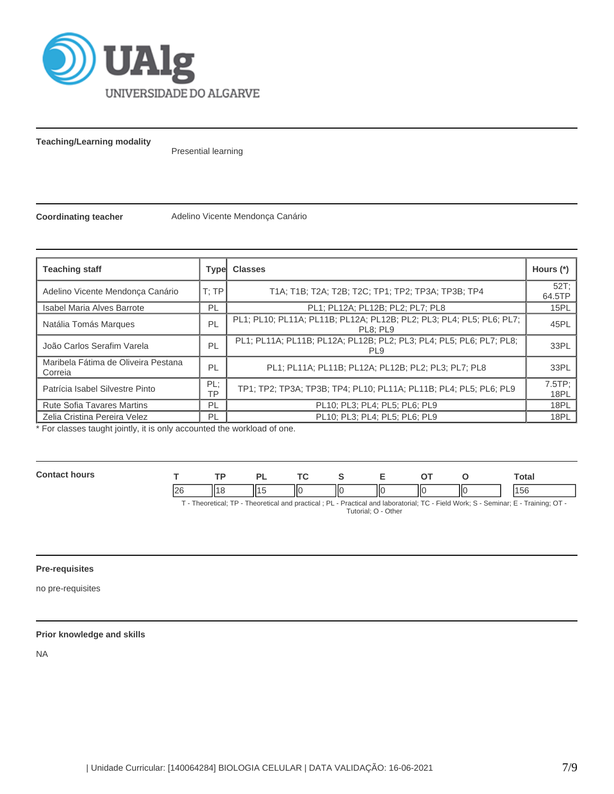

**Teaching/Learning modality**

Presential learning

**Coordinating teacher** Adelino Vicente Mendonça Canário

| <b>Teaching staff</b>                          |                                                                                              | <b>Type Classes</b>                                                              | Hours $(*)$    |
|------------------------------------------------|----------------------------------------------------------------------------------------------|----------------------------------------------------------------------------------|----------------|
| Adelino Vicente Mendonca Canário               | T;TP                                                                                         | T1A; T1B; T2A; T2B; T2C; TP1; TP2; TP3A; TP3B; TP4                               | 52T:<br>64.5TP |
| <b>Isabel Maria Alves Barrote</b>              | PL                                                                                           | PL1; PL12A; PL12B; PL2; PL7; PL8                                                 | 15PL           |
| Natália Tomás Marques                          | PL                                                                                           | PL1; PL10; PL11A; PL11B; PL12A; PL12B; PL2; PL3; PL4; PL5; PL6; PL7;<br>PL8: PL9 | 45PL           |
| João Carlos Serafim Varela                     | PL1; PL11A; PL11B; PL12A; PL12B; PL2; PL3; PL4; PL5; PL6; PL7; PL8;<br>PL<br>PL <sub>9</sub> |                                                                                  | 33PL           |
| Maribela Fátima de Oliveira Pestana<br>Correia | PL                                                                                           | PL1; PL11A; PL11B; PL12A; PL12B; PL2; PL3; PL7; PL8                              | 33PL           |
| Patrícia Isabel Silvestre Pinto                | PL:<br>TP1; TP2; TP3A; TP3B; TP4; PL10; PL11A; PL11B; PL4; PL5; PL6; PL9<br>TP               |                                                                                  | 7.5TP:<br>18PL |
| <b>Rute Sofia Tavares Martins</b>              | PL                                                                                           | PL10; PL3; PL4; PL5; PL6; PL9                                                    | 18PL           |
| Zelia Cristina Pereira Velez                   | PL                                                                                           | PL10; PL3; PL4; PL5; PL6; PL9                                                    | 18PL           |

\* For classes taught jointly, it is only accounted the workload of one.

| Con<br>hours |    | ים | $\sim$ |   |    |    | <b>Total</b> |
|--------------|----|----|--------|---|----|----|--------------|
|              | 26 |    | -lic   | Ш | ШC | ШC | br           |

T - Theoretical; TP - Theoretical and practical ; PL - Practical and laboratorial; TC - Field Work; S - Seminar; E - Training; OT - Tutorial; O - Other

# **Pre-requisites**

no pre-requisites

## **Prior knowledge and skills**

NA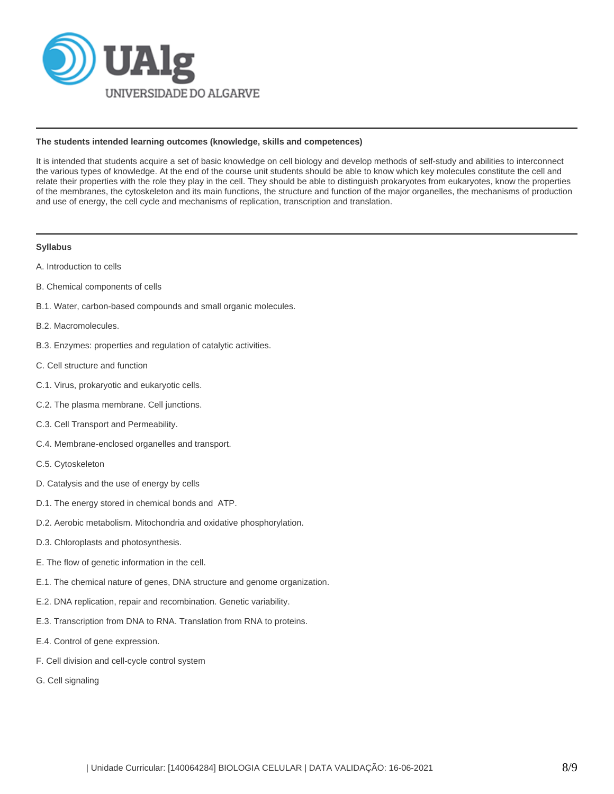

### **The students intended learning outcomes (knowledge, skills and competences)**

It is intended that students acquire a set of basic knowledge on cell biology and develop methods of self-study and abilities to interconnect the various types of knowledge. At the end of the course unit students should be able to know which key molecules constitute the cell and relate their properties with the role they play in the cell. They should be able to distinguish prokaryotes from eukaryotes, know the properties of the membranes, the cytoskeleton and its main functions, the structure and function of the major organelles, the mechanisms of production and use of energy, the cell cycle and mechanisms of replication, transcription and translation.

### **Syllabus**

- A. Introduction to cells
- B. Chemical components of cells
- B.1. Water, carbon-based compounds and small organic molecules.
- B.2. Macromolecules.
- B.3. Enzymes: properties and regulation of catalytic activities.
- C. Cell structure and function
- C.1. Virus, prokaryotic and eukaryotic cells.
- C.2. The plasma membrane. Cell junctions.
- C.3. Cell Transport and Permeability.
- C.4. Membrane-enclosed organelles and transport.
- C.5. Cytoskeleton
- D. Catalysis and the use of energy by cells
- D.1. The energy stored in chemical bonds and ATP.
- D.2. Aerobic metabolism. Mitochondria and oxidative phosphorylation.
- D.3. Chloroplasts and photosynthesis.
- E. The flow of genetic information in the cell.
- E.1. The chemical nature of genes, DNA structure and genome organization.
- E.2. DNA replication, repair and recombination. Genetic variability.
- E.3. Transcription from DNA to RNA. Translation from RNA to proteins.
- E.4. Control of gene expression.
- F. Cell division and cell-cycle control system
- G. Cell signaling